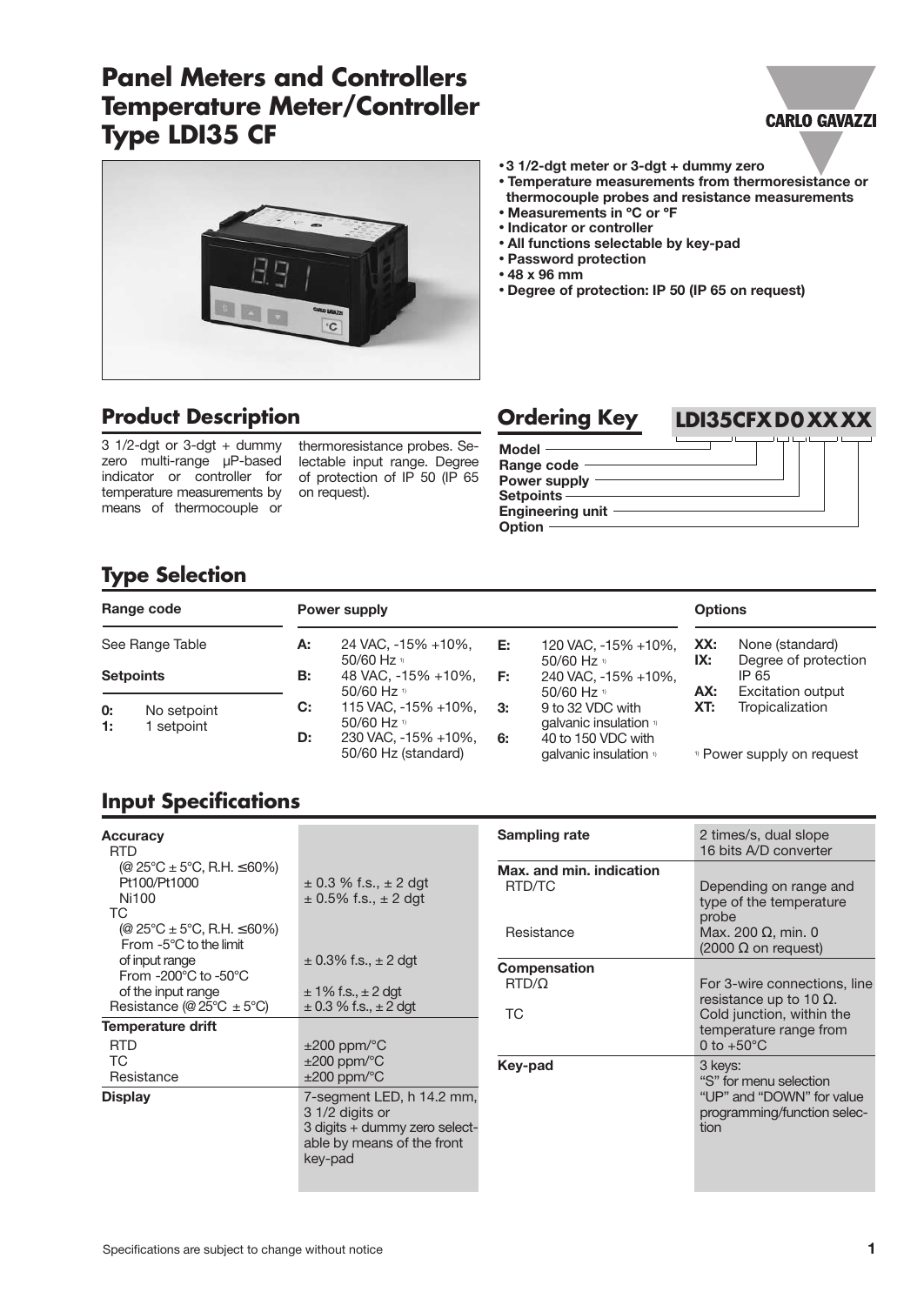# **Panel Meters and Controllers Temperature Meter/Controller Type LDI35 CF**

### **CARLO GAVAZZI**



## **Product Description**

 $3 \frac{1}{2}$ -dgt or  $3$ -dgt + dummy zero multi-range µP-based indicator or controller for temperature measurements by means of thermocouple or

thermoresistance probes. Selectable input range. Degree of protection of IP 50 (IP 65 on request).

#### • **3 1/2-dgt meter or 3-dgt + dummy zero**

- **Temperature measurements from thermoresistance or thermocouple probes and resistance measurements**
- **Measurements in ºC or ºF**
- **Indicator or controller**
- **All functions selectable by key-pad**
- **Password protection**
- **48 x 96 mm**
- **Degree of protection: IP 50 (IP 65 on request)**



## **Type Selection**

| Range code       |                         |    | Power supply                                  |    |                                                        | <b>Options</b> |                                                           |
|------------------|-------------------------|----|-----------------------------------------------|----|--------------------------------------------------------|----------------|-----------------------------------------------------------|
| See Range Table  |                         | А: | 24 VAC, -15% +10%,<br>50/60 Hz $v$            | Е: | 120 VAC, -15% +10%,                                    | XX:<br>IX:     | None (standard)                                           |
| <b>Setpoints</b> |                         | В: | 48 VAC, -15% +10%,<br>50/60 Hz $\frac{1}{2}$  | E: | 50/60 Hz $v$<br>240 VAC, -15% +10%,<br>50/60 Hz $v$    | AX:            | Degree of protection<br>IP 65<br><b>Excitation output</b> |
| 0:<br>1:         | No setpoint<br>setpoint | C: | 115 VAC, -15% +10%,<br>50/60 Hz $\frac{1}{2}$ | 3: | 9 to 32 VDC with<br>qalvanic insulation <sup>1</sup>   | XT:            | Tropicalization                                           |
|                  |                         | D: | 230 VAC, -15% +10%,<br>50/60 Hz (standard)    | 6: | 40 to 150 VDC with<br>qalvanic insulation <sup>1</sup> |                | <sup>1)</sup> Power supply on request                     |

## **Input Specifications**

| <b>Accuracy</b><br><b>RTD</b>                                                                                                      |                                                                                                                        | <b>Sampling rate</b>                      | 2 times/s, dual slope<br>16 bits A/D converter                                              |
|------------------------------------------------------------------------------------------------------------------------------------|------------------------------------------------------------------------------------------------------------------------|-------------------------------------------|---------------------------------------------------------------------------------------------|
| (@ $25^{\circ}$ C ± 5°C, R.H. $\leq 60\%$ )<br>Pt100/Pt1000<br>Ni100<br>ТC                                                         | $\pm$ 0.3 % f.s., $\pm$ 2 dgt<br>$\pm$ 0.5% f.s., $\pm$ 2 dgt                                                          | Max, and min. indication<br>RTD/TC        | Depending on range and<br>type of the temperature<br>probe                                  |
| (@ $25^{\circ}$ C ± 5°C, R.H. $\leq 60\%$ )<br>From $-5^{\circ}$ C to the limit                                                    |                                                                                                                        | Resistance                                | Max. 200 $\Omega$ , min. 0<br>$(2000 \Omega$ on request)                                    |
| of input range<br>From -200 $^{\circ}$ C to -50 $^{\circ}$ C<br>of the input range<br>Resistance (@ $25^{\circ}C \pm 5^{\circ}C$ ) | $\pm$ 0.3% f.s., $\pm$ 2 dgt<br>$\pm$ 1% f.s., $\pm$ 2 dgt<br>$\pm$ 0.3 % f.s., $\pm$ 2 dgt                            | <b>Compensation</b><br>$RTD/\Omega$<br>ТC | For 3-wire connections, line<br>resistance up to 10 $\Omega$ .<br>Cold junction, within the |
| <b>Temperature drift</b><br><b>RTD</b>                                                                                             | $\pm 200$ ppm/ $\degree$ C                                                                                             |                                           | temperature range from<br>0 to $+50^{\circ}$ C                                              |
| <b>TC</b><br>Resistance                                                                                                            | $\pm 200$ ppm/ $\degree$ C<br>$\pm 200$ ppm/ $\degree$ C                                                               | Key-pad                                   | 3 keys:<br>"S" for menu selection                                                           |
| <b>Display</b>                                                                                                                     | 7-segment LED, h 14.2 mm,<br>3 1/2 digits or<br>3 digits + dummy zero select-<br>able by means of the front<br>key-pad |                                           | "UP" and "DOWN" for value<br>programming/function selec-<br>tion                            |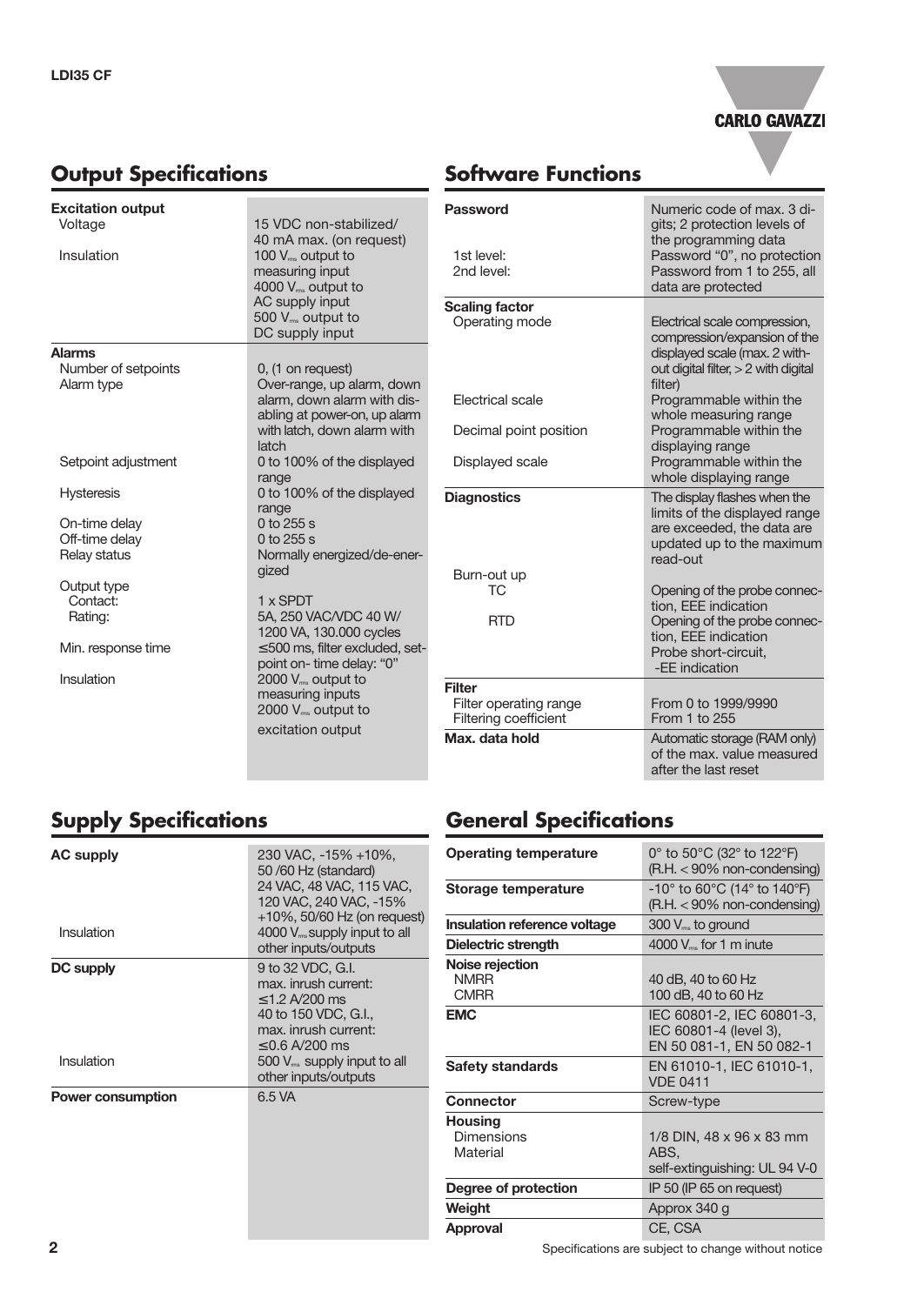

# **Output Specifications**

# **Software Functions**

| <b>Excitation output</b> |                                                           | Password              |
|--------------------------|-----------------------------------------------------------|-----------------------|
| Voltage                  | 15 VDC non-stabilized/                                    |                       |
| Insulation               | 40 mA max. (on request)                                   | 1st level:            |
|                          | 100 $V_{\rm ms}$ output to<br>measuring input             | 2nd level:            |
|                          | 4000 $V_{\text{rms}}$ output to                           |                       |
|                          | AC supply input                                           | <b>Scaling factor</b> |
|                          | 500 V <sub>ms</sub> output to                             | Operating mode        |
|                          | DC supply input                                           |                       |
| <b>Alarms</b>            |                                                           |                       |
| Number of setpoints      | 0, (1 on request)                                         |                       |
| Alarm type               | Over-range, up alarm, down<br>alarm, down alarm with dis- | Electrical scale      |
|                          | abling at power-on, up alarm                              |                       |
|                          | with latch, down alarm with                               | Decimal point positi  |
|                          | latch                                                     |                       |
| Setpoint adjustment      | 0 to 100% of the displayed                                | Displayed scale       |
|                          | range                                                     |                       |
| <b>Hysteresis</b>        | 0 to 100% of the displayed                                | <b>Diagnostics</b>    |
| On-time delay            | range<br>0 to $255 s$                                     |                       |
| Off-time delay           | 0 to 255 s                                                |                       |
| Relay status             | Normally energized/de-ener-                               |                       |
|                          | gized                                                     | Burn-out up           |
| Output type              |                                                           | ТC                    |
| Contact:                 | 1 x SPDT                                                  |                       |
| Rating:                  | 5A, 250 VAC/VDC 40 W/<br>1200 VA, 130.000 cycles          | <b>RTD</b>            |
| Min. response time       | $\leq$ 500 ms, filter excluded, set-                      |                       |
|                          | point on-time delay: "0"                                  |                       |
| Insulation               | 2000 V <sub>ms</sub> output to                            | <b>Filter</b>         |
|                          | measuring inputs                                          | Filter operating rang |
|                          | 2000 V <sub>ms</sub> output to                            | Filtering coefficient |
|                          | excitation output                                         | Max. data hold        |
|                          |                                                           |                       |

| Numeric code of max, 3 di-<br>gits; 2 protection levels of<br>the programming data<br>Password "0", no protection<br>Password from 1 to 255, all<br>data are protected |
|------------------------------------------------------------------------------------------------------------------------------------------------------------------------|
|                                                                                                                                                                        |
| Electrical scale compression,<br>compression/expansion of the<br>displayed scale (max. 2 with-<br>out digital filter, $> 2$ with digital<br>filter)                    |
| Programmable within the<br>whole measuring range                                                                                                                       |
| Programmable within the<br>displaying range                                                                                                                            |
| Programmable within the<br>whole displaying range                                                                                                                      |
| The display flashes when the<br>limits of the displayed range<br>are exceeded, the data are<br>updated up to the maximum<br>read-out                                   |
| Opening of the probe connec-<br>tion, EEE indication<br>Opening of the probe connec-<br>tion, EEE indication<br>Probe short-circuit,<br>-EE indication                 |
| From 0 to 1999/9990<br>From 1 to 255                                                                                                                                   |
| Automatic storage (RAM only)<br>of the max. value measured<br>after the last reset                                                                                     |
|                                                                                                                                                                        |

# **Supply Specifications**

| <b>AC supply</b><br>Insulation | 230 VAC, -15% +10%,<br>50/60 Hz (standard)<br>24 VAC, 48 VAC, 115 VAC,<br>120 VAC, 240 VAC, -15%<br>$+10\%$ , 50/60 Hz (on request)<br>4000 $V_{\text{rms}}$ supply input to all<br>other inputs/outputs |
|--------------------------------|----------------------------------------------------------------------------------------------------------------------------------------------------------------------------------------------------------|
| <b>DC supply</b><br>Insulation | 9 to 32 VDC, G.I.<br>max. inrush current:<br>$< 1.2$ A/200 ms<br>40 to 150 VDC, G.I.,<br>max. inrush current:<br>$< 0.6$ A/200 ms<br>$500 V_{\text{ms}}$ supply input to all<br>other inputs/outputs     |
| <b>Power consumption</b>       | 6.5 VA                                                                                                                                                                                                   |

## **General Specifications**

| <b>Operating temperature</b>                  | 0 $\degree$ to 50 $\degree$ C (32 $\degree$ to 122 $\degree$ F)<br>$(R.H. < 90\%$ non-condensing)      |  |  |
|-----------------------------------------------|--------------------------------------------------------------------------------------------------------|--|--|
| Storage temperature                           | $-10^{\circ}$ to 60 $^{\circ}$ C (14 $^{\circ}$ to 140 $^{\circ}$ F)<br>$(R.H. < 90\%$ non-condensing) |  |  |
| <b>Insulation reference voltage</b>           | $300 Vms$ to ground                                                                                    |  |  |
| Dielectric strength                           | 4000 $V_{\text{rms}}$ for 1 m inute                                                                    |  |  |
| Noise rejection<br><b>NMRR</b><br><b>CMRR</b> | 40 dB, 40 to 60 Hz<br>100 dB, 40 to 60 Hz                                                              |  |  |
| <b>EMC</b>                                    | IEC 60801-2, IEC 60801-3,<br>IEC 60801-4 (level 3),<br>EN 50 081-1, EN 50 082-1                        |  |  |
| <b>Safety standards</b>                       | EN 61010-1, IEC 61010-1,<br><b>VDE 0411</b>                                                            |  |  |
| <b>Connector</b>                              | Screw-type                                                                                             |  |  |
| Housing<br>Dimensions<br>Material             | 1/8 DIN, 48 x 96 x 83 mm<br>ABS.<br>self-extinguishing: UL 94 V-0                                      |  |  |
| Degree of protection                          | IP 50 (IP 65 on request)                                                                               |  |  |
| Weight                                        | Approx 340 g                                                                                           |  |  |
| <b>Approval</b>                               | CE, CSA                                                                                                |  |  |

**2** Specifications are subject to change without notice